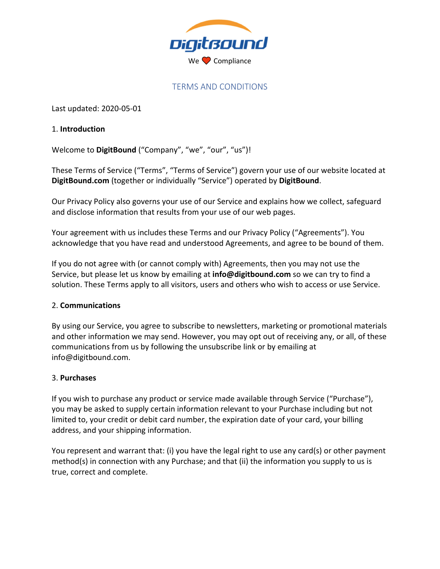

## TERMS AND CONDITIONS

Last updated: 2020‐05‐01

#### 1. **Introduction**

Welcome to **DigitBound** ("Company", "we", "our", "us")!

These Terms of Service ("Terms", "Terms of Service") govern your use of our website located at **DigitBound.com** (together or individually "Service") operated by **DigitBound**.

Our Privacy Policy also governs your use of our Service and explains how we collect, safeguard and disclose information that results from your use of our web pages.

Your agreement with us includes these Terms and our Privacy Policy ("Agreements"). You acknowledge that you have read and understood Agreements, and agree to be bound of them.

If you do not agree with (or cannot comply with) Agreements, then you may not use the Service, but please let us know by emailing at **info@digitbound.com** so we can try to find a solution. These Terms apply to all visitors, users and others who wish to access or use Service.

#### 2. **Communications**

By using our Service, you agree to subscribe to newsletters, marketing or promotional materials and other information we may send. However, you may opt out of receiving any, or all, of these communications from us by following the unsubscribe link or by emailing at info@digitbound.com.

## 3. **Purchases**

If you wish to purchase any product or service made available through Service ("Purchase"), you may be asked to supply certain information relevant to your Purchase including but not limited to, your credit or debit card number, the expiration date of your card, your billing address, and your shipping information.

You represent and warrant that: (i) you have the legal right to use any card(s) or other payment method(s) in connection with any Purchase; and that (ii) the information you supply to us is true, correct and complete.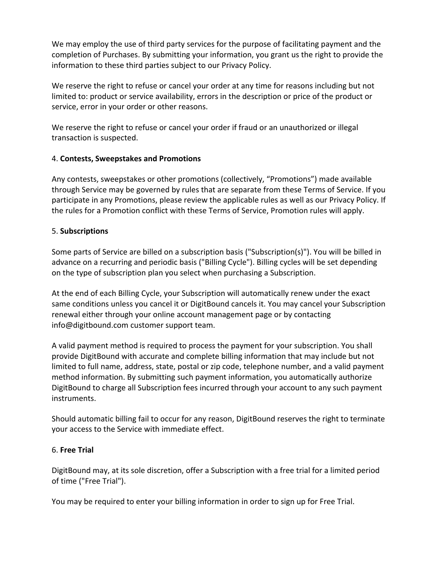We may employ the use of third party services for the purpose of facilitating payment and the completion of Purchases. By submitting your information, you grant us the right to provide the information to these third parties subject to our Privacy Policy.

We reserve the right to refuse or cancel your order at any time for reasons including but not limited to: product or service availability, errors in the description or price of the product or service, error in your order or other reasons.

We reserve the right to refuse or cancel your order if fraud or an unauthorized or illegal transaction is suspected.

# 4. **Contests, Sweepstakes and Promotions**

Any contests, sweepstakes or other promotions (collectively, "Promotions") made available through Service may be governed by rules that are separate from these Terms of Service. If you participate in any Promotions, please review the applicable rules as well as our Privacy Policy. If the rules for a Promotion conflict with these Terms of Service, Promotion rules will apply.

# 5. **Subscriptions**

Some parts of Service are billed on a subscription basis ("Subscription(s)"). You will be billed in advance on a recurring and periodic basis ("Billing Cycle"). Billing cycles will be set depending on the type of subscription plan you select when purchasing a Subscription.

At the end of each Billing Cycle, your Subscription will automatically renew under the exact same conditions unless you cancel it or DigitBound cancels it. You may cancel your Subscription renewal either through your online account management page or by contacting info@digitbound.com customer support team.

A valid payment method is required to process the payment for your subscription. You shall provide DigitBound with accurate and complete billing information that may include but not limited to full name, address, state, postal or zip code, telephone number, and a valid payment method information. By submitting such payment information, you automatically authorize DigitBound to charge all Subscription fees incurred through your account to any such payment instruments.

Should automatic billing fail to occur for any reason, DigitBound reserves the right to terminate your access to the Service with immediate effect.

## 6. **Free Trial**

DigitBound may, at its sole discretion, offer a Subscription with a free trial for a limited period of time ("Free Trial").

You may be required to enter your billing information in order to sign up for Free Trial.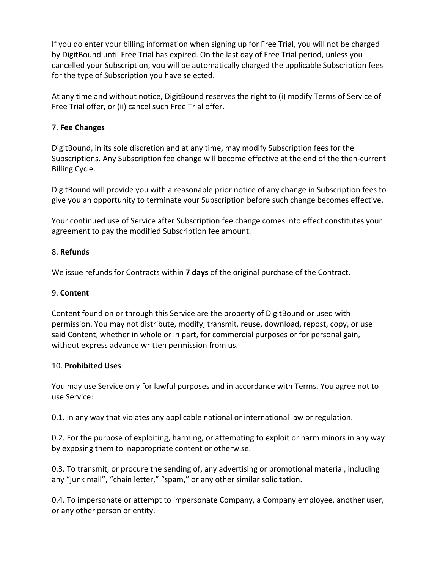If you do enter your billing information when signing up for Free Trial, you will not be charged by DigitBound until Free Trial has expired. On the last day of Free Trial period, unless you cancelled your Subscription, you will be automatically charged the applicable Subscription fees for the type of Subscription you have selected.

At any time and without notice, DigitBound reserves the right to (i) modify Terms of Service of Free Trial offer, or (ii) cancel such Free Trial offer.

#### 7. **Fee Changes**

DigitBound, in its sole discretion and at any time, may modify Subscription fees for the Subscriptions. Any Subscription fee change will become effective at the end of the then‐current Billing Cycle.

DigitBound will provide you with a reasonable prior notice of any change in Subscription fees to give you an opportunity to terminate your Subscription before such change becomes effective.

Your continued use of Service after Subscription fee change comes into effect constitutes your agreement to pay the modified Subscription fee amount.

#### 8. **Refunds**

We issue refunds for Contracts within **7 days** of the original purchase of the Contract.

#### 9. **Content**

Content found on or through this Service are the property of DigitBound or used with permission. You may not distribute, modify, transmit, reuse, download, repost, copy, or use said Content, whether in whole or in part, for commercial purposes or for personal gain, without express advance written permission from us.

#### 10. **Prohibited Uses**

You may use Service only for lawful purposes and in accordance with Terms. You agree not to use Service:

0.1. In any way that violates any applicable national or international law or regulation.

0.2. For the purpose of exploiting, harming, or attempting to exploit or harm minors in any way by exposing them to inappropriate content or otherwise.

0.3. To transmit, or procure the sending of, any advertising or promotional material, including any "junk mail", "chain letter," "spam," or any other similar solicitation.

0.4. To impersonate or attempt to impersonate Company, a Company employee, another user, or any other person or entity.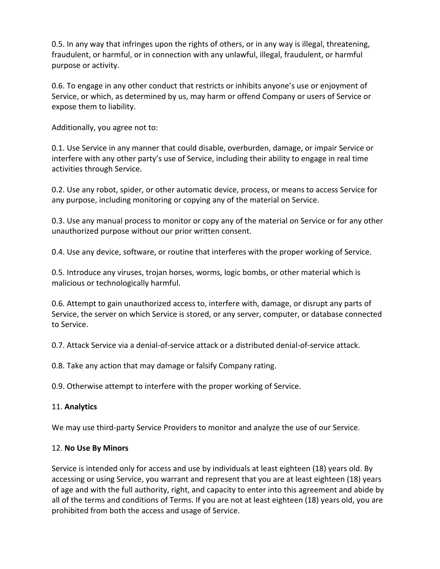0.5. In any way that infringes upon the rights of others, or in any way is illegal, threatening, fraudulent, or harmful, or in connection with any unlawful, illegal, fraudulent, or harmful purpose or activity.

0.6. To engage in any other conduct that restricts or inhibits anyone's use or enjoyment of Service, or which, as determined by us, may harm or offend Company or users of Service or expose them to liability.

Additionally, you agree not to:

0.1. Use Service in any manner that could disable, overburden, damage, or impair Service or interfere with any other party's use of Service, including their ability to engage in real time activities through Service.

0.2. Use any robot, spider, or other automatic device, process, or means to access Service for any purpose, including monitoring or copying any of the material on Service.

0.3. Use any manual process to monitor or copy any of the material on Service or for any other unauthorized purpose without our prior written consent.

0.4. Use any device, software, or routine that interferes with the proper working of Service.

0.5. Introduce any viruses, trojan horses, worms, logic bombs, or other material which is malicious or technologically harmful.

0.6. Attempt to gain unauthorized access to, interfere with, damage, or disrupt any parts of Service, the server on which Service is stored, or any server, computer, or database connected to Service.

0.7. Attack Service via a denial‐of‐service attack or a distributed denial‐of‐service attack.

0.8. Take any action that may damage or falsify Company rating.

0.9. Otherwise attempt to interfere with the proper working of Service.

## 11. **Analytics**

We may use third‐party Service Providers to monitor and analyze the use of our Service.

## 12. **No Use By Minors**

Service is intended only for access and use by individuals at least eighteen (18) years old. By accessing or using Service, you warrant and represent that you are at least eighteen (18) years of age and with the full authority, right, and capacity to enter into this agreement and abide by all of the terms and conditions of Terms. If you are not at least eighteen (18) years old, you are prohibited from both the access and usage of Service.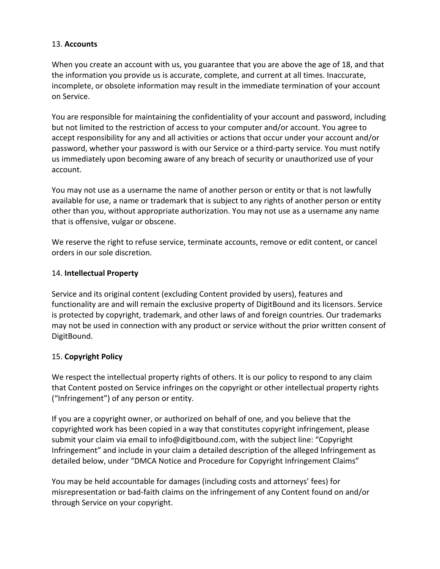#### 13. **Accounts**

When you create an account with us, you guarantee that you are above the age of 18, and that the information you provide us is accurate, complete, and current at all times. Inaccurate, incomplete, or obsolete information may result in the immediate termination of your account on Service.

You are responsible for maintaining the confidentiality of your account and password, including but not limited to the restriction of access to your computer and/or account. You agree to accept responsibility for any and all activities or actions that occur under your account and/or password, whether your password is with our Service or a third‐party service. You must notify us immediately upon becoming aware of any breach of security or unauthorized use of your account.

You may not use as a username the name of another person or entity or that is not lawfully available for use, a name or trademark that is subject to any rights of another person or entity other than you, without appropriate authorization. You may not use as a username any name that is offensive, vulgar or obscene.

We reserve the right to refuse service, terminate accounts, remove or edit content, or cancel orders in our sole discretion.

#### 14. **Intellectual Property**

Service and its original content (excluding Content provided by users), features and functionality are and will remain the exclusive property of DigitBound and its licensors. Service is protected by copyright, trademark, and other laws of and foreign countries. Our trademarks may not be used in connection with any product or service without the prior written consent of DigitBound.

## 15. **Copyright Policy**

We respect the intellectual property rights of others. It is our policy to respond to any claim that Content posted on Service infringes on the copyright or other intellectual property rights ("Infringement") of any person or entity.

If you are a copyright owner, or authorized on behalf of one, and you believe that the copyrighted work has been copied in a way that constitutes copyright infringement, please submit your claim via email to info@digitbound.com, with the subject line: "Copyright Infringement" and include in your claim a detailed description of the alleged Infringement as detailed below, under "DMCA Notice and Procedure for Copyright Infringement Claims"

You may be held accountable for damages (including costs and attorneys' fees) for misrepresentation or bad‐faith claims on the infringement of any Content found on and/or through Service on your copyright.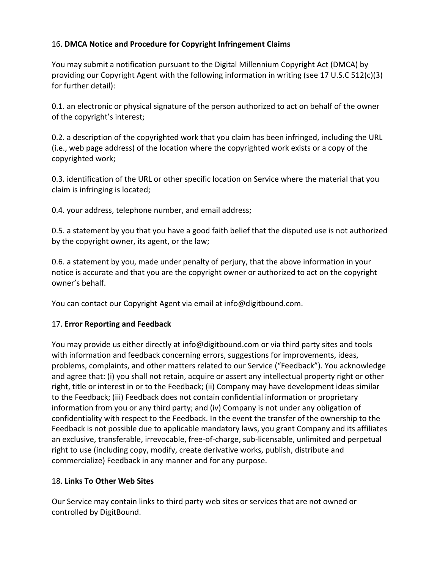# 16. **DMCA Notice and Procedure for Copyright Infringement Claims**

You may submit a notification pursuant to the Digital Millennium Copyright Act (DMCA) by providing our Copyright Agent with the following information in writing (see 17 U.S.C 512(c)(3) for further detail):

0.1. an electronic or physical signature of the person authorized to act on behalf of the owner of the copyright's interest;

0.2. a description of the copyrighted work that you claim has been infringed, including the URL (i.e., web page address) of the location where the copyrighted work exists or a copy of the copyrighted work;

0.3. identification of the URL or other specific location on Service where the material that you claim is infringing is located;

0.4. your address, telephone number, and email address;

0.5. a statement by you that you have a good faith belief that the disputed use is not authorized by the copyright owner, its agent, or the law;

0.6. a statement by you, made under penalty of perjury, that the above information in your notice is accurate and that you are the copyright owner or authorized to act on the copyright owner's behalf.

You can contact our Copyright Agent via email at info@digitbound.com.

## 17. **Error Reporting and Feedback**

You may provide us either directly at info@digitbound.com or via third party sites and tools with information and feedback concerning errors, suggestions for improvements, ideas, problems, complaints, and other matters related to our Service ("Feedback"). You acknowledge and agree that: (i) you shall not retain, acquire or assert any intellectual property right or other right, title or interest in or to the Feedback; (ii) Company may have development ideas similar to the Feedback; (iii) Feedback does not contain confidential information or proprietary information from you or any third party; and (iv) Company is not under any obligation of confidentiality with respect to the Feedback. In the event the transfer of the ownership to the Feedback is not possible due to applicable mandatory laws, you grant Company and its affiliates an exclusive, transferable, irrevocable, free‐of‐charge, sub‐licensable, unlimited and perpetual right to use (including copy, modify, create derivative works, publish, distribute and commercialize) Feedback in any manner and for any purpose.

## 18. **Links To Other Web Sites**

Our Service may contain links to third party web sites or services that are not owned or controlled by DigitBound.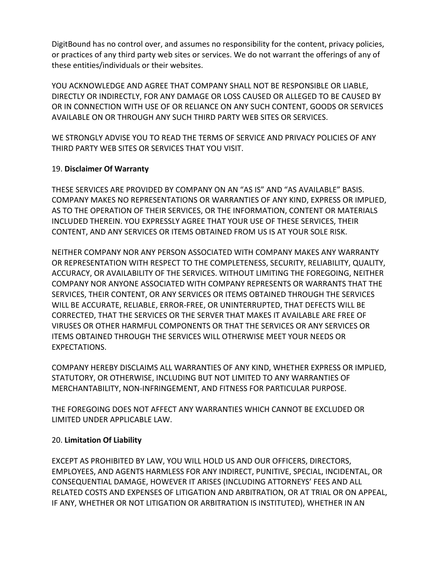DigitBound has no control over, and assumes no responsibility for the content, privacy policies, or practices of any third party web sites or services. We do not warrant the offerings of any of these entities/individuals or their websites.

YOU ACKNOWLEDGE AND AGREE THAT COMPANY SHALL NOT BE RESPONSIBLE OR LIABLE, DIRECTLY OR INDIRECTLY, FOR ANY DAMAGE OR LOSS CAUSED OR ALLEGED TO BE CAUSED BY OR IN CONNECTION WITH USE OF OR RELIANCE ON ANY SUCH CONTENT, GOODS OR SERVICES AVAILABLE ON OR THROUGH ANY SUCH THIRD PARTY WEB SITES OR SERVICES.

WE STRONGLY ADVISE YOU TO READ THE TERMS OF SERVICE AND PRIVACY POLICIES OF ANY THIRD PARTY WEB SITES OR SERVICES THAT YOU VISIT.

## 19. **Disclaimer Of Warranty**

THESE SERVICES ARE PROVIDED BY COMPANY ON AN "AS IS" AND "AS AVAILABLE" BASIS. COMPANY MAKES NO REPRESENTATIONS OR WARRANTIES OF ANY KIND, EXPRESS OR IMPLIED, AS TO THE OPERATION OF THEIR SERVICES, OR THE INFORMATION, CONTENT OR MATERIALS INCLUDED THEREIN. YOU EXPRESSLY AGREE THAT YOUR USE OF THESE SERVICES, THEIR CONTENT, AND ANY SERVICES OR ITEMS OBTAINED FROM US IS AT YOUR SOLE RISK.

NEITHER COMPANY NOR ANY PERSON ASSOCIATED WITH COMPANY MAKES ANY WARRANTY OR REPRESENTATION WITH RESPECT TO THE COMPLETENESS, SECURITY, RELIABILITY, QUALITY, ACCURACY, OR AVAILABILITY OF THE SERVICES. WITHOUT LIMITING THE FOREGOING, NEITHER COMPANY NOR ANYONE ASSOCIATED WITH COMPANY REPRESENTS OR WARRANTS THAT THE SERVICES, THEIR CONTENT, OR ANY SERVICES OR ITEMS OBTAINED THROUGH THE SERVICES WILL BE ACCURATE, RELIABLE, ERROR‐FREE, OR UNINTERRUPTED, THAT DEFECTS WILL BE CORRECTED, THAT THE SERVICES OR THE SERVER THAT MAKES IT AVAILABLE ARE FREE OF VIRUSES OR OTHER HARMFUL COMPONENTS OR THAT THE SERVICES OR ANY SERVICES OR ITEMS OBTAINED THROUGH THE SERVICES WILL OTHERWISE MEET YOUR NEEDS OR EXPECTATIONS.

COMPANY HEREBY DISCLAIMS ALL WARRANTIES OF ANY KIND, WHETHER EXPRESS OR IMPLIED, STATUTORY, OR OTHERWISE, INCLUDING BUT NOT LIMITED TO ANY WARRANTIES OF MERCHANTABILITY, NON‐INFRINGEMENT, AND FITNESS FOR PARTICULAR PURPOSE.

THE FOREGOING DOES NOT AFFECT ANY WARRANTIES WHICH CANNOT BE EXCLUDED OR LIMITED UNDER APPLICABLE LAW.

## 20. **Limitation Of Liability**

EXCEPT AS PROHIBITED BY LAW, YOU WILL HOLD US AND OUR OFFICERS, DIRECTORS, EMPLOYEES, AND AGENTS HARMLESS FOR ANY INDIRECT, PUNITIVE, SPECIAL, INCIDENTAL, OR CONSEQUENTIAL DAMAGE, HOWEVER IT ARISES (INCLUDING ATTORNEYS' FEES AND ALL RELATED COSTS AND EXPENSES OF LITIGATION AND ARBITRATION, OR AT TRIAL OR ON APPEAL, IF ANY, WHETHER OR NOT LITIGATION OR ARBITRATION IS INSTITUTED), WHETHER IN AN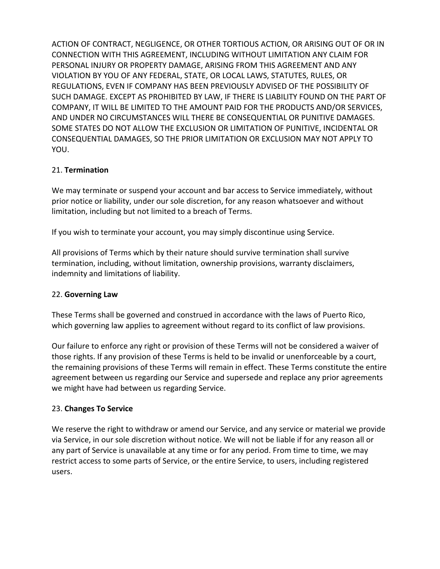ACTION OF CONTRACT, NEGLIGENCE, OR OTHER TORTIOUS ACTION, OR ARISING OUT OF OR IN CONNECTION WITH THIS AGREEMENT, INCLUDING WITHOUT LIMITATION ANY CLAIM FOR PERSONAL INJURY OR PROPERTY DAMAGE, ARISING FROM THIS AGREEMENT AND ANY VIOLATION BY YOU OF ANY FEDERAL, STATE, OR LOCAL LAWS, STATUTES, RULES, OR REGULATIONS, EVEN IF COMPANY HAS BEEN PREVIOUSLY ADVISED OF THE POSSIBILITY OF SUCH DAMAGE. EXCEPT AS PROHIBITED BY LAW, IF THERE IS LIABILITY FOUND ON THE PART OF COMPANY, IT WILL BE LIMITED TO THE AMOUNT PAID FOR THE PRODUCTS AND/OR SERVICES, AND UNDER NO CIRCUMSTANCES WILL THERE BE CONSEQUENTIAL OR PUNITIVE DAMAGES. SOME STATES DO NOT ALLOW THE EXCLUSION OR LIMITATION OF PUNITIVE, INCIDENTAL OR CONSEQUENTIAL DAMAGES, SO THE PRIOR LIMITATION OR EXCLUSION MAY NOT APPLY TO YOU.

# 21. **Termination**

We may terminate or suspend your account and bar access to Service immediately, without prior notice or liability, under our sole discretion, for any reason whatsoever and without limitation, including but not limited to a breach of Terms.

If you wish to terminate your account, you may simply discontinue using Service.

All provisions of Terms which by their nature should survive termination shall survive termination, including, without limitation, ownership provisions, warranty disclaimers, indemnity and limitations of liability.

## 22. **Governing Law**

These Terms shall be governed and construed in accordance with the laws of Puerto Rico, which governing law applies to agreement without regard to its conflict of law provisions.

Our failure to enforce any right or provision of these Terms will not be considered a waiver of those rights. If any provision of these Terms is held to be invalid or unenforceable by a court, the remaining provisions of these Terms will remain in effect. These Terms constitute the entire agreement between us regarding our Service and supersede and replace any prior agreements we might have had between us regarding Service.

## 23. **Changes To Service**

We reserve the right to withdraw or amend our Service, and any service or material we provide via Service, in our sole discretion without notice. We will not be liable if for any reason all or any part of Service is unavailable at any time or for any period. From time to time, we may restrict access to some parts of Service, or the entire Service, to users, including registered users.